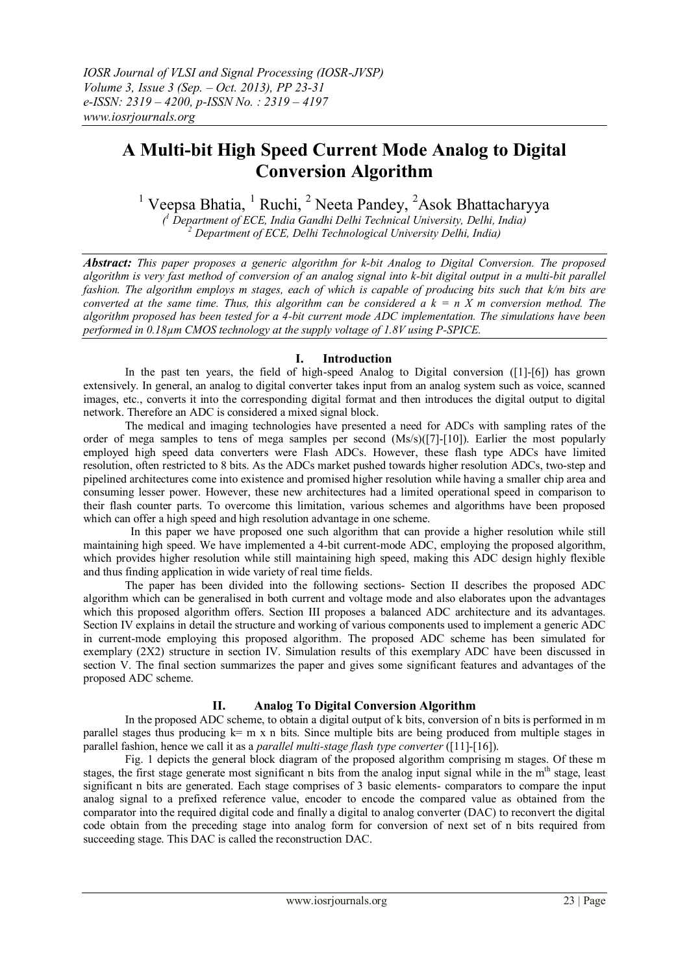# **A Multi-bit High Speed Current Mode Analog to Digital Conversion Algorithm**

<sup>1</sup> Veepsa Bhatia, <sup>1</sup> Ruchi, <sup>2</sup> Neeta Pandey, <sup>2</sup>Asok Bhattacharyya

*( <sup>1</sup> Department of ECE, India Gandhi Delhi Technical University, Delhi, India) <sup>2</sup> Department of ECE, Delhi Technological University Delhi, India)*

*Abstract: This paper proposes a generic algorithm for k-bit Analog to Digital Conversion. The proposed algorithm is very fast method of conversion of an analog signal into k-bit digital output in a multi-bit parallel fashion. The algorithm employs m stages, each of which is capable of producing bits such that k/m bits are converted at the same time. Thus, this algorithm can be considered a*  $k = n X m$  *conversion method. The algorithm proposed has been tested for a 4-bit current mode ADC implementation. The simulations have been performed in 0.18µm CMOS technology at the supply voltage of 1.8V using P-SPICE.* 

# **I. Introduction**

In the past ten years, the field of high-speed Analog to Digital conversion ([1]-[6]) has grown extensively. In general, an analog to digital converter takes input from an analog system such as voice, scanned images, etc., converts it into the corresponding digital format and then introduces the digital output to digital network. Therefore an ADC is considered a mixed signal block.

The medical and imaging technologies have presented a need for ADCs with sampling rates of the order of mega samples to tens of mega samples per second (Ms/s)([7]-[10]). Earlier the most popularly employed high speed data converters were Flash ADCs. However, these flash type ADCs have limited resolution, often restricted to 8 bits. As the ADCs market pushed towards higher resolution ADCs, two-step and pipelined architectures come into existence and promised higher resolution while having a smaller chip area and consuming lesser power. However, these new architectures had a limited operational speed in comparison to their flash counter parts. To overcome this limitation, various schemes and algorithms have been proposed which can offer a high speed and high resolution advantage in one scheme.

 In this paper we have proposed one such algorithm that can provide a higher resolution while still maintaining high speed. We have implemented a 4-bit current-mode ADC, employing the proposed algorithm, which provides higher resolution while still maintaining high speed, making this ADC design highly flexible and thus finding application in wide variety of real time fields.

 The paper has been divided into the following sections- Section II describes the proposed ADC algorithm which can be generalised in both current and voltage mode and also elaborates upon the advantages which this proposed algorithm offers. Section III proposes a balanced ADC architecture and its advantages. Section IV explains in detail the structure and working of various components used to implement a generic ADC in current-mode employing this proposed algorithm. The proposed ADC scheme has been simulated for exemplary (2X2) structure in section IV. Simulation results of this exemplary ADC have been discussed in section V. The final section summarizes the paper and gives some significant features and advantages of the proposed ADC scheme.

# **II. Analog To Digital Conversion Algorithm**

In the proposed ADC scheme, to obtain a digital output of k bits, conversion of n bits is performed in m parallel stages thus producing  $k= m \times n$  bits. Since multiple bits are being produced from multiple stages in parallel fashion, hence we call it as a *parallel multi-stage flash type converter* ([11]-[16]).

 Fig. 1 depicts the general block diagram of the proposed algorithm comprising m stages. Of these m stages, the first stage generate most significant n bits from the analog input signal while in the m<sup>th</sup> stage, least significant n bits are generated. Each stage comprises of 3 basic elements- comparators to compare the input analog signal to a prefixed reference value, encoder to encode the compared value as obtained from the comparator into the required digital code and finally a digital to analog converter (DAC) to reconvert the digital code obtain from the preceding stage into analog form for conversion of next set of n bits required from succeeding stage. This DAC is called the reconstruction DAC.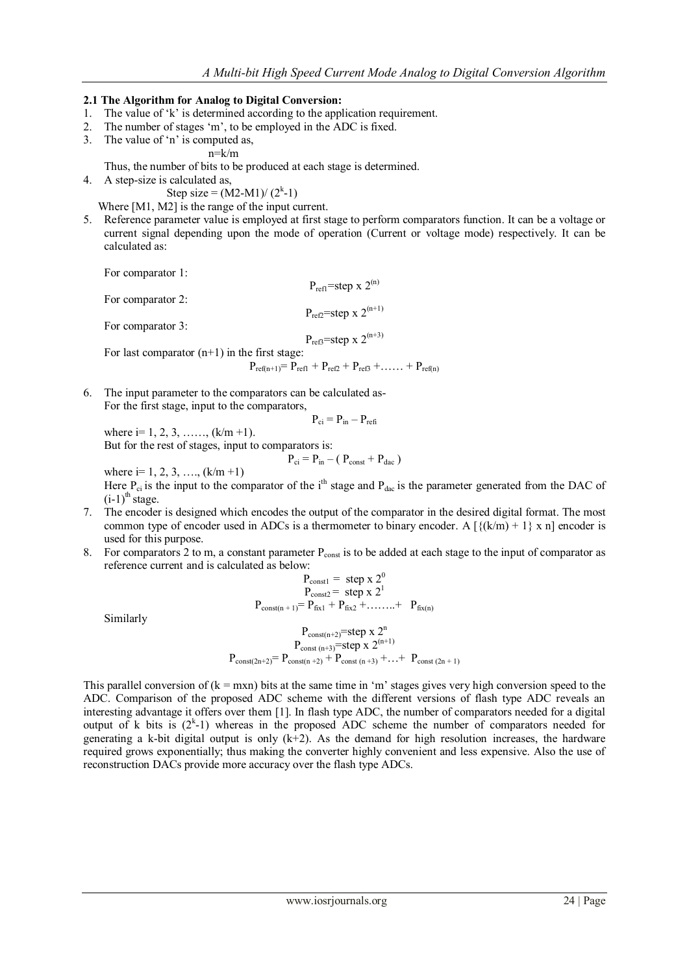## **2.1 The Algorithm for Analog to Digital Conversion:**

- 1. The value of "k" is determined according to the application requirement.
- 2. The number of stages "m", to be employed in the ADC is fixed.
- 3. The value of 'n' is computed as,

n=k/m

Thus, the number of bits to be produced at each stage is determined.

4. A step-size is calculated as,

Step size =  $(M2-M1)/(2^{k-1})$ 

Where [M1, M2] is the range of the input current.

5. Reference parameter value is employed at first stage to perform comparators function. It can be a voltage or current signal depending upon the mode of operation (Current or voltage mode) respectively. It can be calculated as:

For comparator 1:

For comparator 2:

For comparator 3:

 $P_{ref3}$ =step x  $2^{(n+3)}$ 

 $P_{refl}$ =step x 2<sup>(n)</sup>

 $P_{ref}$ =step x  $2^{(n+1)}$ 

For last comparator  $(n+1)$  in the first stage:

 $P_{ref(n+1)} = P_{ref1} + P_{ref2} + P_{ref3} + \dots + P_{ref(n)}$ 

6. The input parameter to the comparators can be calculated as-For the first stage, input to the comparators,

$$
P_{ci} = P_{in} - P_{refi}
$$

where  $i=1, 2, 3, \ldots$ ,  $(k/m +1)$ . But for the rest of stages, input to comparators is:  $P_{ci} = P_{in} - (P_{const} + P_{dac})$ 

where  $i= 1, 2, 3, \ldots, (k/m +1)$ 

Here  $P_{ci}$  is the input to the comparator of the i<sup>th</sup> stage and  $P_{dac}$  is the parameter generated from the DAC of  $(i-1)$ <sup>th</sup> stage.

- 7. The encoder is designed which encodes the output of the comparator in the desired digital format. The most common type of encoder used in ADCs is a thermometer to binary encoder. A  $[\{(k/m) + 1\} \times n]$  encoder is used for this purpose.
- 8. For comparators 2 to m, a constant parameter  $P_{\text{const}}$  is to be added at each stage to the input of comparator as reference current and is calculated as below:

 $P_{\text{const1}} = \text{step x } 2^0$  $P_{\text{const2}} =$  step x 2<sup>1</sup>  $P_{\text{const}(n+1)} = P_{\text{fix}1} + P_{\text{fix}2} + \dots + P_{\text{fix}(n)}$ 

Similarly

Pconst(n+2)=step x 2<sup>n</sup> Pconst (n+3)=step x 2(n+1) Pconst(2n+2)= Pconst(n +2) + Pconst (n +3) +…+ Pconst (2n + 1)

This parallel conversion of  $(k = mxn)$  bits at the same time in 'm' stages gives very high conversion speed to the ADC. Comparison of the proposed ADC scheme with the different versions of flash type ADC reveals an interesting advantage it offers over them [1]. In flash type ADC, the number of comparators needed for a digital output of k bits is  $(2<sup>k</sup>-1)$  whereas in the proposed ADC scheme the number of comparators needed for generating a k-bit digital output is only  $(k+2)$ . As the demand for high resolution increases, the hardware required grows exponentially; thus making the converter highly convenient and less expensive. Also the use of reconstruction DACs provide more accuracy over the flash type ADCs.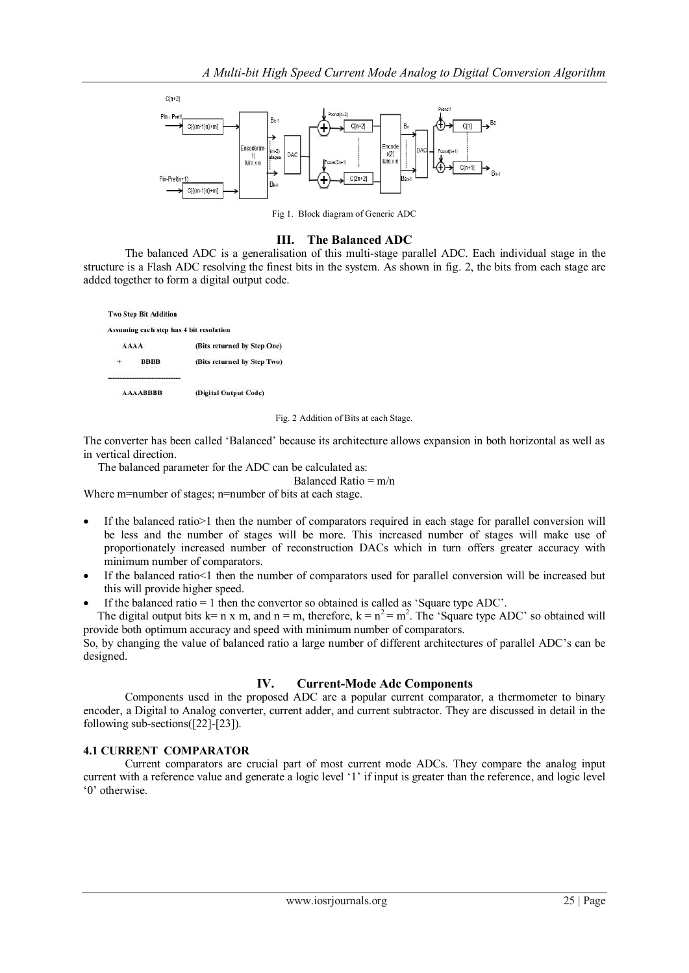

Fig 1. Block diagram of Generic ADC

#### **III. The Balanced ADC**

The balanced ADC is a generalisation of this multi-stage parallel ADC. Each individual stage in the structure is a Flash ADC resolving the finest bits in the system. As shown in fig. 2, the bits from each stage are added together to form a digital output code.

|                 | <b>Two Step Bit Addition</b> |                                         |  |
|-----------------|------------------------------|-----------------------------------------|--|
|                 |                              | Assuming each step has 4 bit resolution |  |
| AAAA            |                              | (Bits returned by Step One)             |  |
| $+$             | <b>BBBB</b>                  | (Bits returned by Step Two)             |  |
| <b>AAAABBBB</b> |                              | (Digital Output Code)                   |  |

Fig. 2 Addition of Bits at each Stage.

The converter has been called "Balanced" because its architecture allows expansion in both horizontal as well as in vertical direction.

The balanced parameter for the ADC can be calculated as:

Balanced Ratio  $= m/n$ 

Where m=number of stages; n=number of bits at each stage.

- If the balanced ratio>1 then the number of comparators required in each stage for parallel conversion will be less and the number of stages will be more. This increased number of stages will make use of proportionately increased number of reconstruction DACs which in turn offers greater accuracy with minimum number of comparators.
- If the balanced ratio<1 then the number of comparators used for parallel conversion will be increased but this will provide higher speed.
- If the balanced ratio = 1 then the convertor so obtained is called as "Square type ADC".

The digital output bits k= n x m, and n = m, therefore, k =  $n^2 = m^2$ . The 'Square type ADC' so obtained will provide both optimum accuracy and speed with minimum number of comparators.

So, by changing the value of balanced ratio a large number of different architectures of parallel ADC"s can be designed.

## **IV. Current-Mode Adc Components**

Components used in the proposed ADC are a popular current comparator, a thermometer to binary encoder, a Digital to Analog converter, current adder, and current subtractor. They are discussed in detail in the following sub-sections([22]-[23]).

## **4.1 CURRENT COMPARATOR**

Current comparators are crucial part of most current mode ADCs. They compare the analog input current with a reference value and generate a logic level '1' if input is greater than the reference, and logic level "0" otherwise.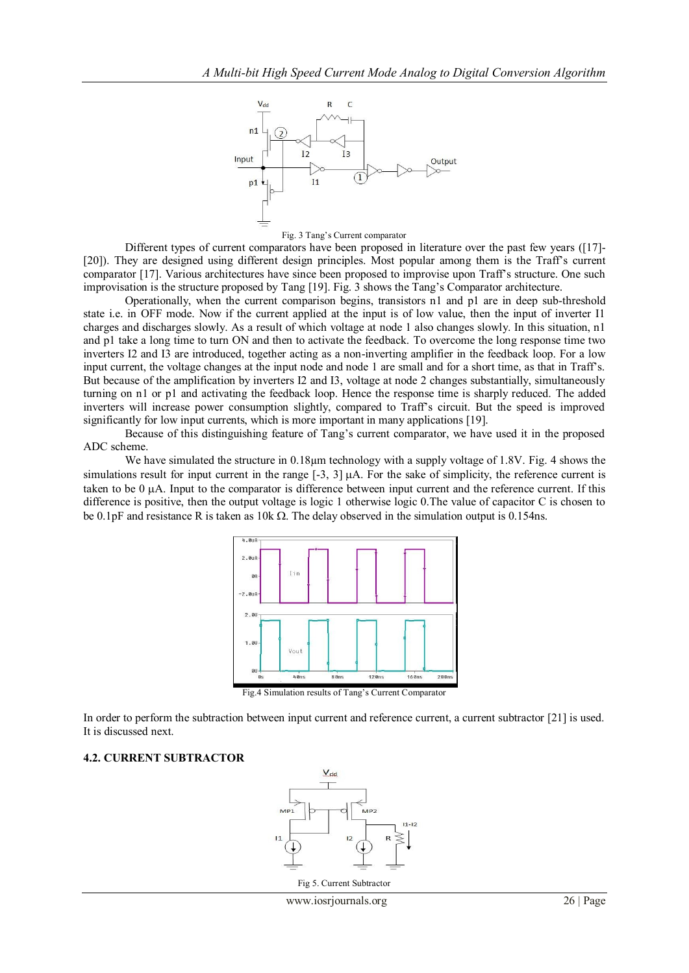

#### Fig. 3 Tang"s Current comparator

 Different types of current comparators have been proposed in literature over the past few years ([17]- [20]). They are designed using different design principles. Most popular among them is the Traff"s current comparator [17]. Various architectures have since been proposed to improvise upon Traff"s structure. One such improvisation is the structure proposed by Tang [19]. Fig. 3 shows the Tang"s Comparator architecture.

 Operationally, when the current comparison begins, transistors n1 and p1 are in deep sub-threshold state i.e. in OFF mode. Now if the current applied at the input is of low value, then the input of inverter I1 charges and discharges slowly. As a result of which voltage at node 1 also changes slowly. In this situation, n1 and p1 take a long time to turn ON and then to activate the feedback. To overcome the long response time two inverters I2 and I3 are introduced, together acting as a non-inverting amplifier in the feedback loop. For a low input current, the voltage changes at the input node and node 1 are small and for a short time, as that in Traff"s. But because of the amplification by inverters I2 and I3, voltage at node 2 changes substantially, simultaneously turning on n1 or p1 and activating the feedback loop. Hence the response time is sharply reduced. The added inverters will increase power consumption slightly, compared to Traff"s circuit. But the speed is improved significantly for low input currents, which is more important in many applications [19].

 Because of this distinguishing feature of Tang"s current comparator, we have used it in the proposed ADC scheme.

We have simulated the structure in 0.18µm technology with a supply voltage of 1.8V. Fig. 4 shows the simulations result for input current in the range  $[-3, 3] \mu A$ . For the sake of simplicity, the reference current is taken to be  $0 \mu A$ . Input to the comparator is difference between input current and the reference current. If this difference is positive, then the output voltage is logic 1 otherwise logic 0.The value of capacitor C is chosen to be 0.1pF and resistance R is taken as 10k  $\Omega$ . The delay observed in the simulation output is 0.154ns.



Fig.4 Simulation results of Tang"s Current Comparator

In order to perform the subtraction between input current and reference current, a current subtractor [21] is used. It is discussed next.

#### **4.2. CURRENT SUBTRACTOR**



Fig 5. Current Subtractor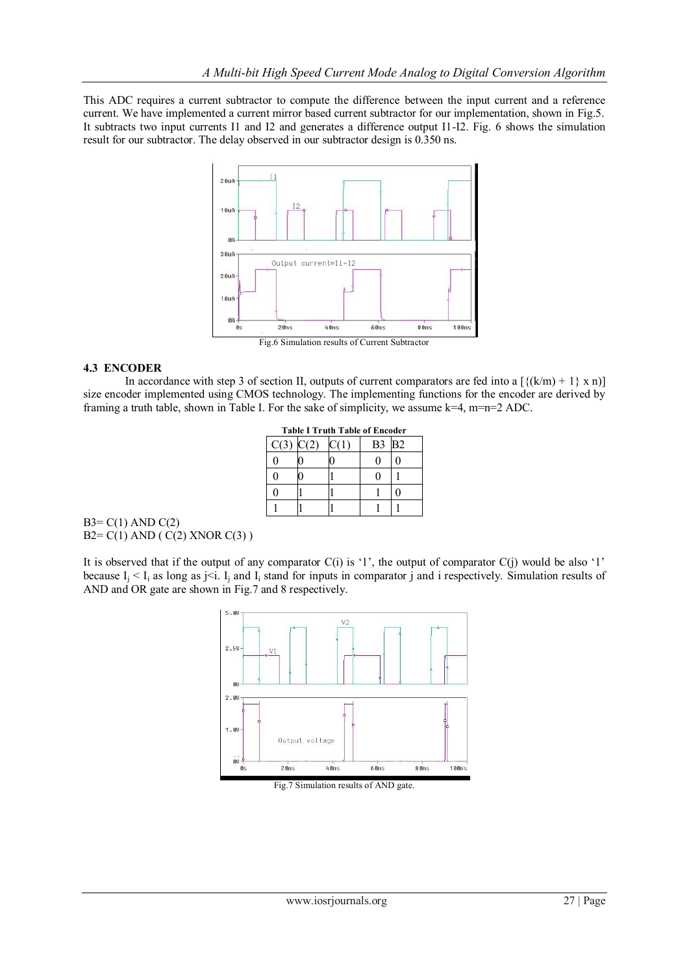This ADC requires a current subtractor to compute the difference between the input current and a reference current. We have implemented a current mirror based current subtractor for our implementation, shown in Fig.5. It subtracts two input currents I1 and I2 and generates a difference output I1-I2. Fig. 6 shows the simulation result for our subtractor. The delay observed in our subtractor design is 0.350 ns.



Fig.6 Simulation results of Current Subtractor

# **4.3 ENCODER**

In accordance with step 3 of section II, outputs of current comparators are fed into a  $[\{(k/m) + 1\} \times n]$ size encoder implemented using CMOS technology. The implementing functions for the encoder are derived by framing a truth table, shown in Table I. For the sake of simplicity, we assume k=4, m=n=2 ADC.

| <b>Table I Truth Table of Encoder</b> |  |  |    |    |  |  |
|---------------------------------------|--|--|----|----|--|--|
| C(3)                                  |  |  | B3 | B2 |  |  |
|                                       |  |  |    |    |  |  |
|                                       |  |  |    |    |  |  |
|                                       |  |  |    |    |  |  |
|                                       |  |  |    |    |  |  |

 $B3 = C(1)$  AND  $C(2)$  $B2 = C(1)$  AND (  $C(2)$  XNOR  $C(3)$  )

It is observed that if the output of any comparator  $C(i)$  is '1', the output of comparator  $C(i)$  would be also '1' because  $I_i < I_i$  as long as  $i \leq i$ . I<sub>i</sub> and I<sub>i</sub> stand for inputs in comparator j and i respectively. Simulation results of AND and OR gate are shown in Fig.7 and 8 respectively.



Fig.7 Simulation results of AND gate.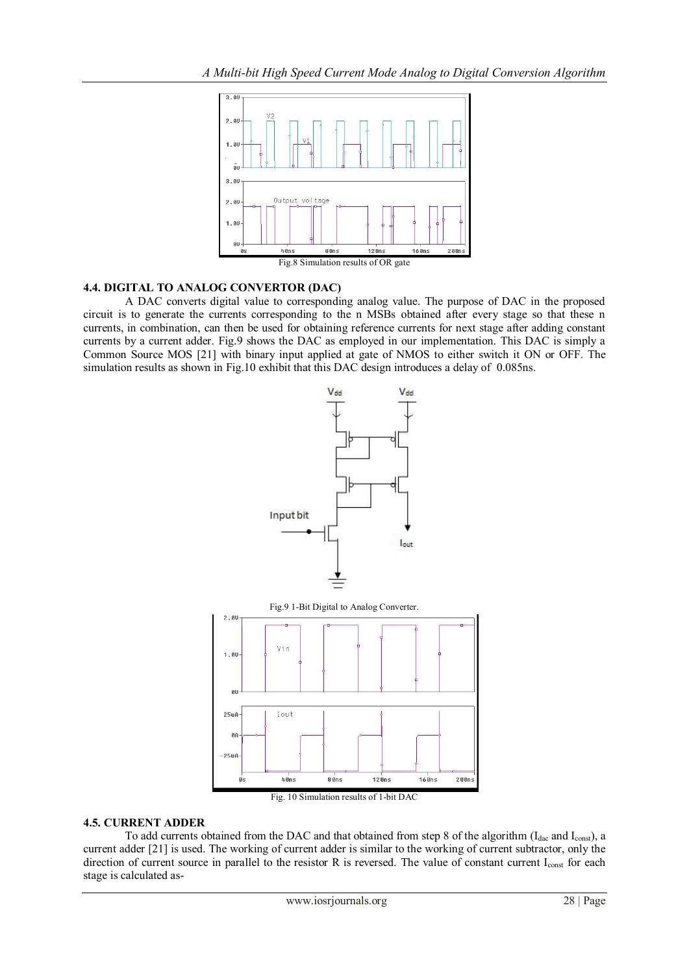

# **4.4. DIGITAL TO ANALOG CONVERTOR (DAC)**

A DAC converts digital value to corresponding analog value. The purpose of DAC in the proposed circuit is to generate the currents corresponding to the n MSBs obtained after every stage so that these n currents, in combination, can then be used for obtaining reference currents for next stage after adding constant currents by a current adder. Fig.9 shows the DAC as employed in our implementation. This DAC is simply a Common Source MOS [21] with binary input applied at gate of NMOS to either switch it ON or OFF. The simulation results as shown in Fig.10 exhibit that this DAC design introduces a delay of 0.085ns.



#### **4.5. CURRENT ADDER**

To add currents obtained from the DAC and that obtained from step 8 of the algorithm (I<sub>dac</sub> and I<sub>const</sub>), a current adder [21] is used. The working of current adder is similar to the working of current subtractor, only the direction of current source in parallel to the resistor R is reversed. The value of constant current I<sub>const</sub> for each stage is calculated as-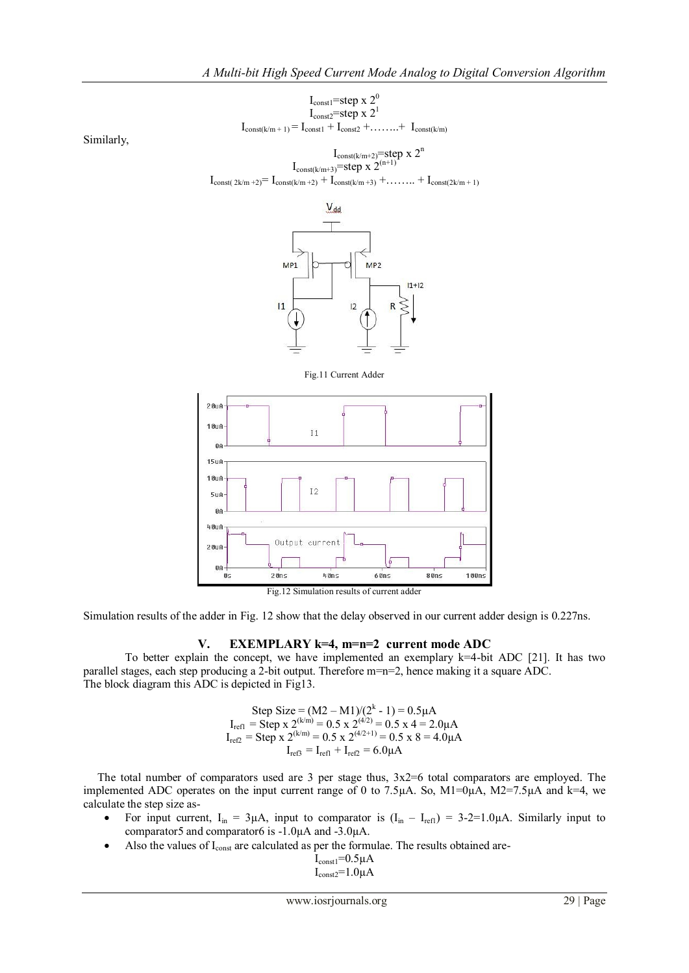$I_{const1}$ =step x  $2^0$  $I_{const2}$ =step x 2<sup>1</sup>  $I_{\text{const}(k/m+1)} = I_{\text{const1}} + I_{\text{const2}} + \ldots + I_{\text{const}(k/m)}$ 

Similarly,

 $I_{const(k/m+2)}$ =step x 2<sup>n</sup>  $I_{const(k/m+3)}$ =step x 2<sup>(n+1)</sup>  $I_{\text{const}(2k/m+2)} = I_{\text{const}(k/m+2)} + I_{\text{const}(k/m+3)} + \ldots + I_{\text{const}(2k/m+1)}$ 



Fig.11 Current Adder



Fig.12 Simulation results of current adder

Simulation results of the adder in Fig. 12 show that the delay observed in our current adder design is 0.227ns.

## **V. EXEMPLARY k=4, m=n=2 current mode ADC**

To better explain the concept, we have implemented an exemplary k=4-bit ADC [21]. It has two parallel stages, each step producing a 2-bit output. Therefore m=n=2, hence making it a square ADC. The block diagram this ADC is depicted in Fig13.

> Step Size =  $(M2 - M1)/(2^{k} - 1) = 0.5 \mu A$  $I_{ref1} =$ Step x 2<sup>(k/m)</sup> = 0.5 x 2<sup>(4/2)</sup> = 0.5 x 4 = 2.0 $\mu$ A  $I_{ref2}$  = Step x 2<sup>(k/m)</sup> = 0.5 x 2<sup>(4/2+1)</sup> = 0.5 x 8 = 4.0 $\mu$ A  $I_{ref3} = I_{ref1} + I_{ref2} = 6.0 \mu A$

The total number of comparators used are 3 per stage thus,  $3x2=6$  total comparators are employed. The implemented ADC operates on the input current range of 0 to 7.5 $\mu$ A. So, M1=0 $\mu$ A, M2=7.5 $\mu$ A and k=4, we calculate the step size as-

- For input current,  $I_{in} = 3\mu A$ , input to comparator is  $(I_{in} I_{refl}) = 3-2=1.0\mu A$ . Similarly input to comparator5 and comparator6 is -1.0µA and -3.0µA.
- $\bullet$  Also the values of  $I_{const}$  are calculated as per the formulae. The results obtained are-

$$
I_{const1} = 0.5 \mu A
$$
  

$$
I_{const2} = 1.0 \mu A
$$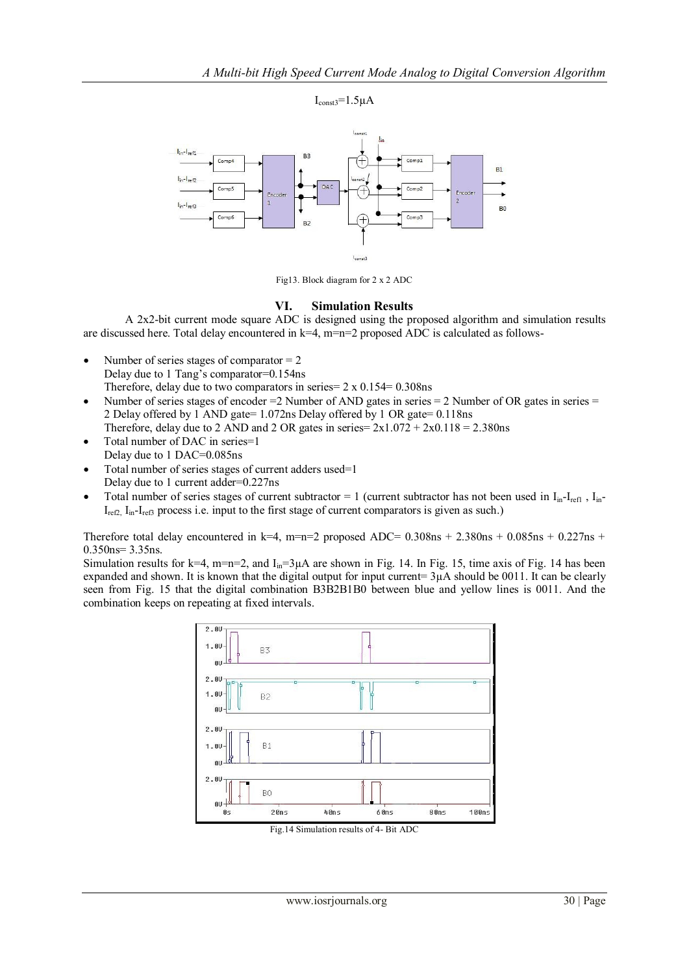



Fig13. Block diagram for 2 x 2 ADC

# **VI. Simulation Results**

A 2x2-bit current mode square ADC is designed using the proposed algorithm and simulation results are discussed here. Total delay encountered in k=4, m=n=2 proposed ADC is calculated as follows-

- Number of series stages of comparator  $= 2$ Delay due to 1 Tang"s comparator=0.154ns Therefore, delay due to two comparators in series =  $2 \times 0.154 = 0.308$ ns
- Number of series stages of encoder  $=$  2 Number of AND gates in series  $=$  2 Number of OR gates in series  $=$ 2 Delay offered by 1 AND gate= 1.072ns Delay offered by 1 OR gate= 0.118ns
- Therefore, delay due to 2 AND and 2 OR gates in series  $= 2x1.072 + 2x0.118 = 2.380$  ns Total number of DAC in series=1
- Delay due to 1 DAC=0.085ns
- Total number of series stages of current adders used=1 Delay due to 1 current adder=0.227ns
- Total number of series stages of current subtractor = 1 (current subtractor has not been used in  $I_{in}$ - $I_{ref1}$ ,  $I_{in}$ - $I_{ref2}$ ,  $I_{in}$ - $I_{ref3}$  process i.e. input to the first stage of current comparators is given as such.)

Therefore total delay encountered in k=4, m=n=2 proposed ADC=  $0.308ns + 2.380ns + 0.085ns + 0.227ns +$ 0.350ns= 3.35ns.

Simulation results for k=4, m=n=2, and  $I_{in}=3\mu A$  are shown in Fig. 14. In Fig. 15, time axis of Fig. 14 has been expanded and shown. It is known that the digital output for input current= 3µA should be 0011. It can be clearly seen from Fig. 15 that the digital combination B3B2B1B0 between blue and yellow lines is 0011. And the combination keeps on repeating at fixed intervals.



Fig.14 Simulation results of 4- Bit ADC